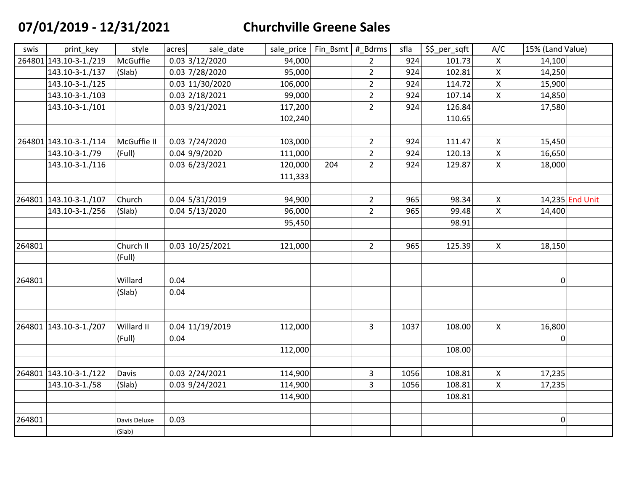## **07/01/2019 - 12/31/2021 Churchville Greene Sales**

| swis   | print_key              | style        | acres | sale date       | sale_price | Fin Bsmt # Bdrms |                | sfla | \$\$_per_sqft | A/C                | 15% (Land Value) |                 |
|--------|------------------------|--------------|-------|-----------------|------------|------------------|----------------|------|---------------|--------------------|------------------|-----------------|
|        | 264801 143.10-3-1./219 | McGuffie     |       | 0.03 3/12/2020  | 94,000     |                  | $\overline{2}$ | 924  | 101.73        | $\mathsf{X}$       | 14,100           |                 |
|        | 143.10-3-1./137        | (Slab)       |       | 0.03 7/28/2020  | 95,000     |                  | $\overline{2}$ | 924  | 102.81        | X                  | 14,250           |                 |
|        | 143.10-3-1./125        |              |       | 0.03 11/30/2020 | 106,000    |                  | $\overline{2}$ | 924  | 114.72        | X                  | 15,900           |                 |
|        | 143.10-3-1./103        |              |       | 0.03 2/18/2021  | 99,000     |                  | $\overline{2}$ | 924  | 107.14        | X                  | 14,850           |                 |
|        | 143.10-3-1./101        |              |       | 0.03 9/21/2021  | 117,200    |                  | $\overline{2}$ | 924  | 126.84        |                    | 17,580           |                 |
|        |                        |              |       |                 | 102,240    |                  |                |      | 110.65        |                    |                  |                 |
|        |                        |              |       |                 |            |                  |                |      |               |                    |                  |                 |
|        | 264801 143.10-3-1./114 | McGuffie II  |       | 0.03 7/24/2020  | 103,000    |                  | $\overline{2}$ | 924  | 111.47        | $\mathsf{X}$       | 15,450           |                 |
|        | 143.10-3-1./79         | (Full)       |       | 0.04 9/9/2020   | 111,000    |                  | $\overline{2}$ | 924  | 120.13        | $\pmb{\mathsf{X}}$ | 16,650           |                 |
|        | 143.10-3-1./116        |              |       | 0.03 6/23/2021  | 120,000    | 204              | $\overline{2}$ | 924  | 129.87        | X                  | 18,000           |                 |
|        |                        |              |       |                 | 111,333    |                  |                |      |               |                    |                  |                 |
|        |                        |              |       |                 |            |                  |                |      |               |                    |                  |                 |
|        | 264801 143.10-3-1./107 | Church       |       | 0.04 5/31/2019  | 94,900     |                  | $\overline{2}$ | 965  | 98.34         | $\mathsf{X}$       |                  | 14,235 End Unit |
|        | 143.10-3-1./256        | (Slab)       |       | 0.04 5/13/2020  | 96,000     |                  | $\overline{2}$ | 965  | 99.48         | X                  | 14,400           |                 |
|        |                        |              |       |                 | 95,450     |                  |                |      | 98.91         |                    |                  |                 |
|        |                        |              |       |                 |            |                  |                |      |               |                    |                  |                 |
| 264801 |                        | Church II    |       | 0.03 10/25/2021 | 121,000    |                  | $\overline{2}$ | 965  | 125.39        | $\mathsf{X}$       | 18,150           |                 |
|        |                        | (Full)       |       |                 |            |                  |                |      |               |                    |                  |                 |
|        |                        |              |       |                 |            |                  |                |      |               |                    |                  |                 |
| 264801 |                        | Willard      | 0.04  |                 |            |                  |                |      |               |                    | $\mathbf 0$      |                 |
|        |                        | (Slab)       | 0.04  |                 |            |                  |                |      |               |                    |                  |                 |
|        |                        |              |       |                 |            |                  |                |      |               |                    |                  |                 |
|        |                        |              |       |                 |            |                  |                |      |               |                    |                  |                 |
|        | 264801 143.10-3-1./207 | Willard II   |       | 0.04 11/19/2019 | 112,000    |                  | $\overline{3}$ | 1037 | 108.00        | $\mathsf{X}$       | 16,800           |                 |
|        |                        | (Full)       | 0.04  |                 |            |                  |                |      |               |                    | 0                |                 |
|        |                        |              |       |                 | 112,000    |                  |                |      | 108.00        |                    |                  |                 |
|        |                        |              |       |                 |            |                  |                |      |               |                    |                  |                 |
|        | 264801 143.10-3-1./122 | Davis        |       | 0.03 2/24/2021  | 114,900    |                  | $\mathsf{3}$   | 1056 | 108.81        | $\mathsf{X}$       | 17,235           |                 |
|        | 143.10-3-1./58         | (Slab)       |       | 0.03 9/24/2021  | 114,900    |                  | $\overline{3}$ | 1056 | 108.81        | X                  | 17,235           |                 |
|        |                        |              |       |                 | 114,900    |                  |                |      | 108.81        |                    |                  |                 |
|        |                        |              |       |                 |            |                  |                |      |               |                    |                  |                 |
| 264801 |                        | Davis Deluxe | 0.03  |                 |            |                  |                |      |               |                    | $\pmb{0}$        |                 |
|        |                        | (Slab)       |       |                 |            |                  |                |      |               |                    |                  |                 |